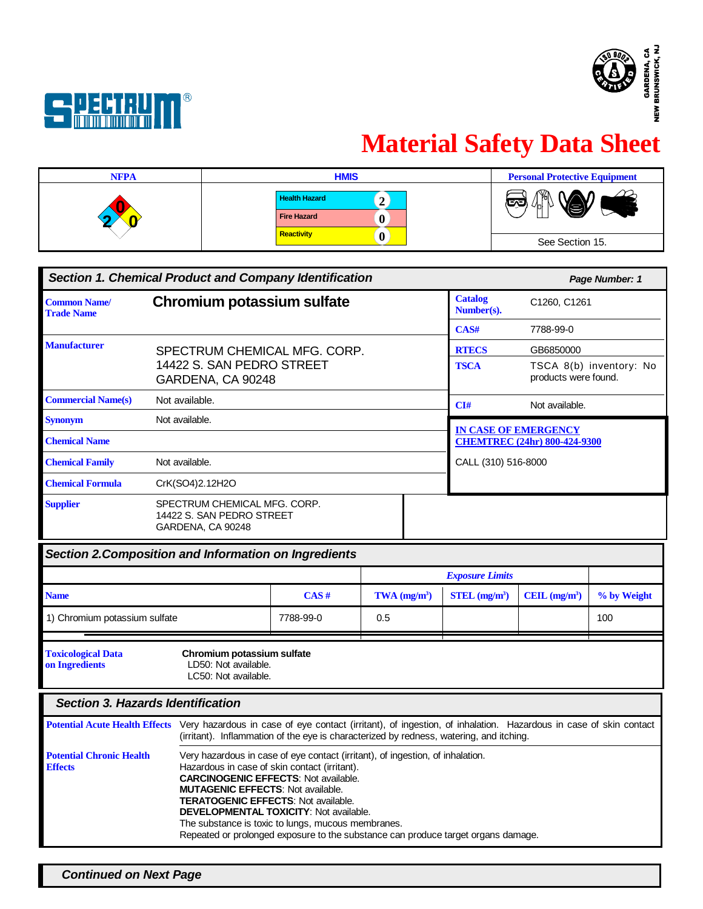



# **Material Safety Data Sheet**

| <b>NFPA</b> | <b>HMIS</b>                                | <b>Personal Protective Equipment</b> |
|-------------|--------------------------------------------|--------------------------------------|
|             | <b>Health Hazard</b><br><b>Fire Hazard</b> | ᠓<br>فت<br>℆<br>e                    |
|             | Reactivity                                 | See Section 15.                      |

| <b>Section 1. Chemical Product and Company Identification</b>          | Page Number: 1                                                                 |                              |                             |                                                 |  |
|------------------------------------------------------------------------|--------------------------------------------------------------------------------|------------------------------|-----------------------------|-------------------------------------------------|--|
| Chromium potassium sulfate<br><b>Common Name/</b><br><b>Trade Name</b> |                                                                                | <b>Catalog</b><br>Number(s). | C1260, C1261                |                                                 |  |
|                                                                        |                                                                                |                              | CAS#                        | 7788-99-0                                       |  |
| <b>Manufacturer</b>                                                    | SPECTRUM CHEMICAL MFG. CORP.                                                   |                              |                             | GB6850000                                       |  |
|                                                                        | 14422 S. SAN PEDRO STREET<br>GARDENA, CA 90248                                 |                              | <b>TSCA</b>                 | TSCA 8(b) inventory: No<br>products were found. |  |
| <b>Commercial Name(s)</b>                                              | Not available.                                                                 |                              | CI#                         | Not available.                                  |  |
| <b>Synonym</b>                                                         | Not available.                                                                 |                              | <b>IN CASE OF EMERGENCY</b> |                                                 |  |
| <b>Chemical Name</b>                                                   |                                                                                |                              |                             | <b>CHEMTREC (24hr) 800-424-9300</b>             |  |
| <b>Chemical Family</b>                                                 | Not available.                                                                 |                              | CALL (310) 516-8000         |                                                 |  |
| <b>Chemical Formula</b>                                                | CrK(SO4)2.12H2O                                                                |                              |                             |                                                 |  |
| <b>Supplier</b>                                                        | SPECTRUM CHEMICAL MFG. CORP.<br>14422 S. SAN PEDRO STREET<br>GARDENA, CA 90248 |                              |                             |                                                 |  |

| Section 2. Composition and Information on Ingredients |                                                                                                                                                                                                                                                                                                                                                                                                                                                                      |           |                            |                             |                |             |
|-------------------------------------------------------|----------------------------------------------------------------------------------------------------------------------------------------------------------------------------------------------------------------------------------------------------------------------------------------------------------------------------------------------------------------------------------------------------------------------------------------------------------------------|-----------|----------------------------|-----------------------------|----------------|-------------|
|                                                       |                                                                                                                                                                                                                                                                                                                                                                                                                                                                      |           |                            | <b>Exposure Limits</b>      |                |             |
| <b>Name</b>                                           |                                                                                                                                                                                                                                                                                                                                                                                                                                                                      | CAS#      | $TWA$ (mg/m <sup>3</sup> ) | $STEL$ (mg/m <sup>3</sup> ) | CEIL $(mg/m3)$ | % by Weight |
| 1) Chromium potassium sulfate                         |                                                                                                                                                                                                                                                                                                                                                                                                                                                                      | 7788-99-0 | 0.5                        |                             |                | 100         |
| <b>Toxicological Data</b><br>on Ingredients           | Chromium potassium sulfate<br>LD50: Not available.<br>LC50: Not available.                                                                                                                                                                                                                                                                                                                                                                                           |           |                            |                             |                |             |
| <b>Section 3. Hazards Identification</b>              |                                                                                                                                                                                                                                                                                                                                                                                                                                                                      |           |                            |                             |                |             |
|                                                       | Potential Acute Health Effects Very hazardous in case of eye contact (irritant), of ingestion, of inhalation. Hazardous in case of skin contact<br>(irritant). Inflammation of the eye is characterized by redness, watering, and itching.                                                                                                                                                                                                                           |           |                            |                             |                |             |
| <b>Potential Chronic Health</b><br><b>Effects</b>     | Very hazardous in case of eye contact (irritant), of ingestion, of inhalation.<br>Hazardous in case of skin contact (irritant).<br><b>CARCINOGENIC EFFECTS: Not available.</b><br><b>MUTAGENIC EFFECTS: Not available.</b><br><b>TERATOGENIC EFFECTS: Not available.</b><br><b>DEVELOPMENTAL TOXICITY: Not available.</b><br>The substance is toxic to lungs, mucous membranes.<br>Repeated or prolonged exposure to the substance can produce target organs damage. |           |                            |                             |                |             |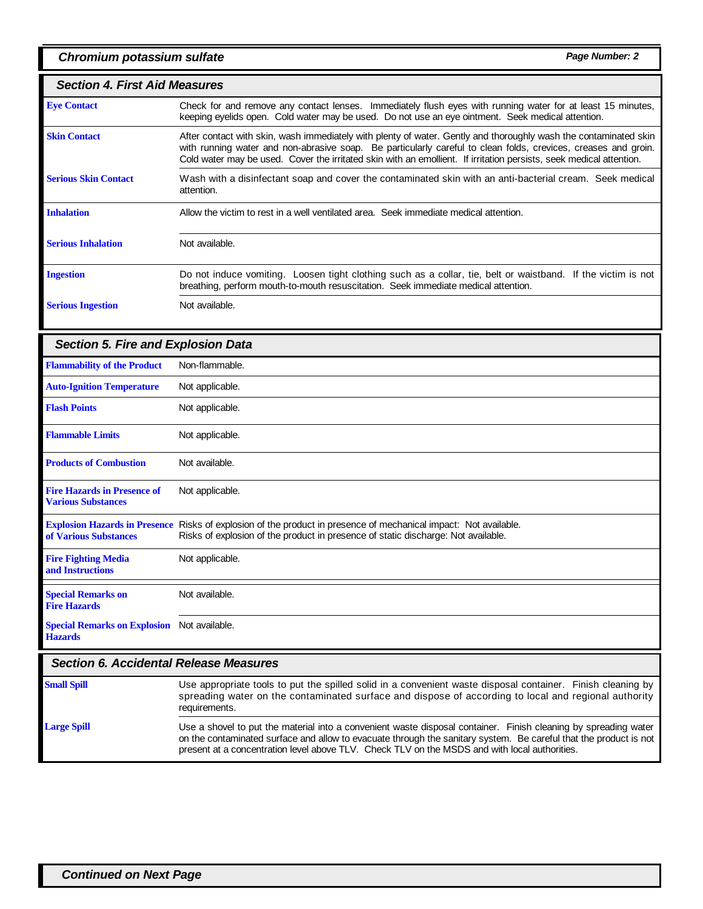### *Section 4. First Aid Measures*

| <b>Eve Contact</b>          | Check for and remove any contact lenses. Immediately flush eyes with running water for at least 15 minutes,<br>keeping eyelids open. Cold water may be used. Do not use an eye ointment. Seek medical attention.                                                                                                                                          |  |  |
|-----------------------------|-----------------------------------------------------------------------------------------------------------------------------------------------------------------------------------------------------------------------------------------------------------------------------------------------------------------------------------------------------------|--|--|
| <b>Skin Contact</b>         | After contact with skin, wash immediately with plenty of water. Gently and thoroughly wash the contaminated skin<br>with running water and non-abrasive soap. Be particularly careful to clean folds, crevices, creases and groin.<br>Cold water may be used. Cover the irritated skin with an emollient. If irritation persists, seek medical attention. |  |  |
| <b>Serious Skin Contact</b> | Wash with a disinfectant soap and cover the contaminated skin with an anti-bacterial cream. Seek medical<br>attention.                                                                                                                                                                                                                                    |  |  |
| <b>Inhalation</b>           | Allow the victim to rest in a well ventilated area. Seek immediate medical attention.                                                                                                                                                                                                                                                                     |  |  |
| <b>Serious Inhalation</b>   | Not available.                                                                                                                                                                                                                                                                                                                                            |  |  |
| <b>Ingestion</b>            | Do not induce vomiting. Loosen tight clothing such as a collar, tie, belt or waistband. If the victim is not<br>breathing, perform mouth-to-mouth resuscitation. Seek immediate medical attention.                                                                                                                                                        |  |  |
| <b>Serious Ingestion</b>    | Not available.                                                                                                                                                                                                                                                                                                                                            |  |  |

| <b>Section 5. Fire and Explosion Data</b>                       |                                                                                                                                                                                                       |  |  |  |
|-----------------------------------------------------------------|-------------------------------------------------------------------------------------------------------------------------------------------------------------------------------------------------------|--|--|--|
| <b>Flammability of the Product</b>                              | Non-flammable.                                                                                                                                                                                        |  |  |  |
| <b>Auto-Ignition Temperature</b>                                | Not applicable.                                                                                                                                                                                       |  |  |  |
| <b>Flash Points</b>                                             | Not applicable.                                                                                                                                                                                       |  |  |  |
| <b>Flammable Limits</b>                                         | Not applicable.                                                                                                                                                                                       |  |  |  |
| <b>Products of Combustion</b>                                   | Not available.                                                                                                                                                                                        |  |  |  |
| <b>Fire Hazards in Presence of</b><br><b>Various Substances</b> | Not applicable.                                                                                                                                                                                       |  |  |  |
| of Various Substances                                           | Explosion Hazards in Presence Risks of explosion of the product in presence of mechanical impact: Not available.<br>Risks of explosion of the product in presence of static discharge: Not available. |  |  |  |
| <b>Fire Fighting Media</b><br>and Instructions                  | Not applicable.                                                                                                                                                                                       |  |  |  |
| <b>Special Remarks on</b><br><b>Fire Hazards</b>                | Not available.                                                                                                                                                                                        |  |  |  |
| <b>Special Remarks on Explosion</b><br><b>Hazards</b>           | Not available.                                                                                                                                                                                        |  |  |  |
| <b>Section 6. Accidental Release Measures</b>                   |                                                                                                                                                                                                       |  |  |  |

#### Use appropriate tools to put the spilled solid in a convenient waste disposal container. Finish cleaning by spreading water on the contaminated surface and dispose of according to local and regional authority requirements. Use a shovel to put the material into a convenient waste disposal container. Finish cleaning by spreading water on the contaminated surface and allow to evacuate through the sanitary system. Be careful that the product is not present at a concentration level above TLV. Check TLV on the MSDS and with local authorities. **Small Spill Large Spill**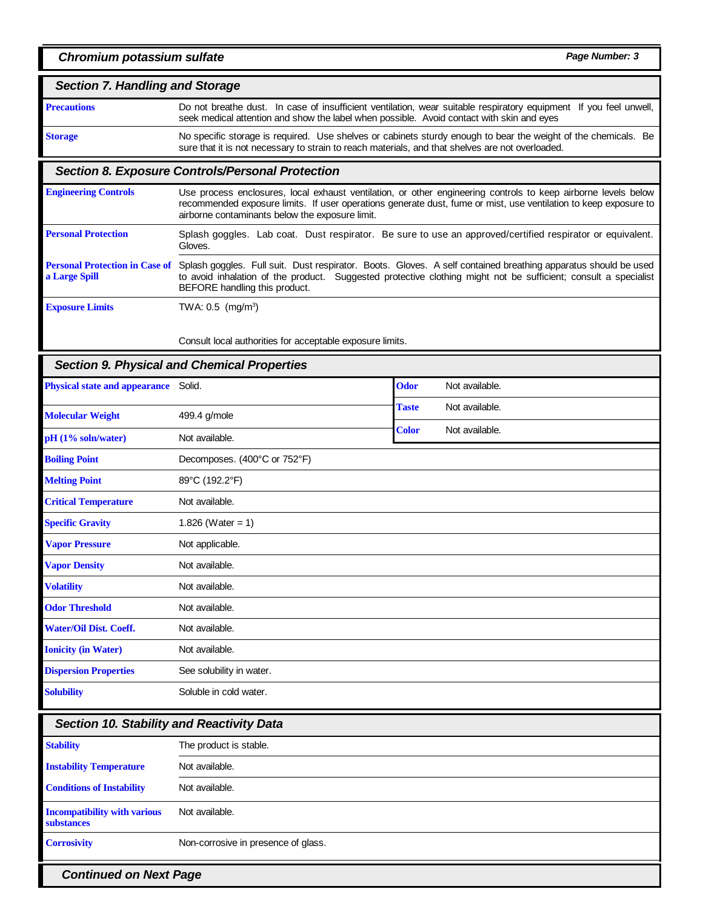| Chromium potassium sulfate                             | Page Number: 3                                                                                                                                                                                                                                                     |                                                                                                                                                                                                                                    |  |  |
|--------------------------------------------------------|--------------------------------------------------------------------------------------------------------------------------------------------------------------------------------------------------------------------------------------------------------------------|------------------------------------------------------------------------------------------------------------------------------------------------------------------------------------------------------------------------------------|--|--|
| <b>Section 7. Handling and Storage</b>                 |                                                                                                                                                                                                                                                                    |                                                                                                                                                                                                                                    |  |  |
| <b>Precautions</b>                                     | Do not breathe dust. In case of insufficient ventilation, wear suitable respiratory equipment If you feel unwell,<br>seek medical attention and show the label when possible. Avoid contact with skin and eyes                                                     |                                                                                                                                                                                                                                    |  |  |
| <b>Storage</b>                                         | No specific storage is required. Use shelves or cabinets sturdy enough to bear the weight of the chemicals. Be<br>sure that it is not necessary to strain to reach materials, and that shelves are not overloaded.                                                 |                                                                                                                                                                                                                                    |  |  |
|                                                        | <b>Section 8. Exposure Controls/Personal Protection</b>                                                                                                                                                                                                            |                                                                                                                                                                                                                                    |  |  |
| <b>Engineering Controls</b>                            | airborne contaminants below the exposure limit.                                                                                                                                                                                                                    | Use process enclosures, local exhaust ventilation, or other engineering controls to keep airborne levels below<br>recommended exposure limits. If user operations generate dust, fume or mist, use ventilation to keep exposure to |  |  |
| <b>Personal Protection</b>                             | Gloves.                                                                                                                                                                                                                                                            | Splash goggles. Lab coat. Dust respirator. Be sure to use an approved/certified respirator or equivalent.                                                                                                                          |  |  |
| <b>Personal Protection in Case of</b><br>a Large Spill | Splash goggles. Full suit. Dust respirator. Boots. Gloves. A self contained breathing apparatus should be used<br>to avoid inhalation of the product. Suggested protective clothing might not be sufficient; consult a specialist<br>BEFORE handling this product. |                                                                                                                                                                                                                                    |  |  |
| <b>Exposure Limits</b>                                 | TWA: $0.5$ (mg/m <sup>3</sup> )                                                                                                                                                                                                                                    |                                                                                                                                                                                                                                    |  |  |
|                                                        | Consult local authorities for acceptable exposure limits.                                                                                                                                                                                                          |                                                                                                                                                                                                                                    |  |  |
|                                                        | <b>Section 9. Physical and Chemical Properties</b>                                                                                                                                                                                                                 |                                                                                                                                                                                                                                    |  |  |
| Physical state and appearance Solid.                   |                                                                                                                                                                                                                                                                    | Not available.<br><b>Odor</b>                                                                                                                                                                                                      |  |  |
| <b>Molecular Weight</b>                                | 499.4 g/mole                                                                                                                                                                                                                                                       | Not available.<br><b>Taste</b>                                                                                                                                                                                                     |  |  |
| pH (1% soln/water)                                     | Not available.                                                                                                                                                                                                                                                     | Not available.<br>Color                                                                                                                                                                                                            |  |  |
| <b>Boiling Point</b>                                   | Decomposes. (400°C or 752°F)                                                                                                                                                                                                                                       |                                                                                                                                                                                                                                    |  |  |
| <b>Melting Point</b>                                   | 89°C (192.2°F)                                                                                                                                                                                                                                                     |                                                                                                                                                                                                                                    |  |  |
| <b>Critical Temperature</b>                            | Not available.                                                                                                                                                                                                                                                     |                                                                                                                                                                                                                                    |  |  |
| <b>Specific Gravity</b>                                | 1.826 (Water = 1)                                                                                                                                                                                                                                                  |                                                                                                                                                                                                                                    |  |  |
| <b>Vapor Pressure</b>                                  | Not applicable.                                                                                                                                                                                                                                                    |                                                                                                                                                                                                                                    |  |  |
| <b>Vapor Density</b>                                   | Not available.                                                                                                                                                                                                                                                     |                                                                                                                                                                                                                                    |  |  |
| <b>Volatility</b>                                      | Not available.                                                                                                                                                                                                                                                     |                                                                                                                                                                                                                                    |  |  |
| <b>Odor Threshold</b>                                  | Not available.                                                                                                                                                                                                                                                     |                                                                                                                                                                                                                                    |  |  |
| Water/Oil Dist. Coeff.                                 | Not available.                                                                                                                                                                                                                                                     |                                                                                                                                                                                                                                    |  |  |
| <b>Ionicity (in Water)</b>                             | Not available.                                                                                                                                                                                                                                                     |                                                                                                                                                                                                                                    |  |  |
| <b>Dispersion Properties</b>                           | See solubility in water.                                                                                                                                                                                                                                           |                                                                                                                                                                                                                                    |  |  |
| <b>Solubility</b>                                      | Soluble in cold water.                                                                                                                                                                                                                                             |                                                                                                                                                                                                                                    |  |  |
| Section 10. Stability and Reactivity Data              |                                                                                                                                                                                                                                                                    |                                                                                                                                                                                                                                    |  |  |
| <b>Stability</b>                                       | The product is stable.                                                                                                                                                                                                                                             |                                                                                                                                                                                                                                    |  |  |
| <b>Instability Temperature</b>                         | Not available.                                                                                                                                                                                                                                                     |                                                                                                                                                                                                                                    |  |  |
| <b>Conditions of Instability</b>                       | Not available.                                                                                                                                                                                                                                                     |                                                                                                                                                                                                                                    |  |  |
| <b>Incompatibility with various</b><br>substances      | Not available.                                                                                                                                                                                                                                                     |                                                                                                                                                                                                                                    |  |  |
| <b>Corrosivity</b>                                     | Non-corrosive in presence of glass.                                                                                                                                                                                                                                |                                                                                                                                                                                                                                    |  |  |
| <b>Continued on Next Page</b>                          |                                                                                                                                                                                                                                                                    |                                                                                                                                                                                                                                    |  |  |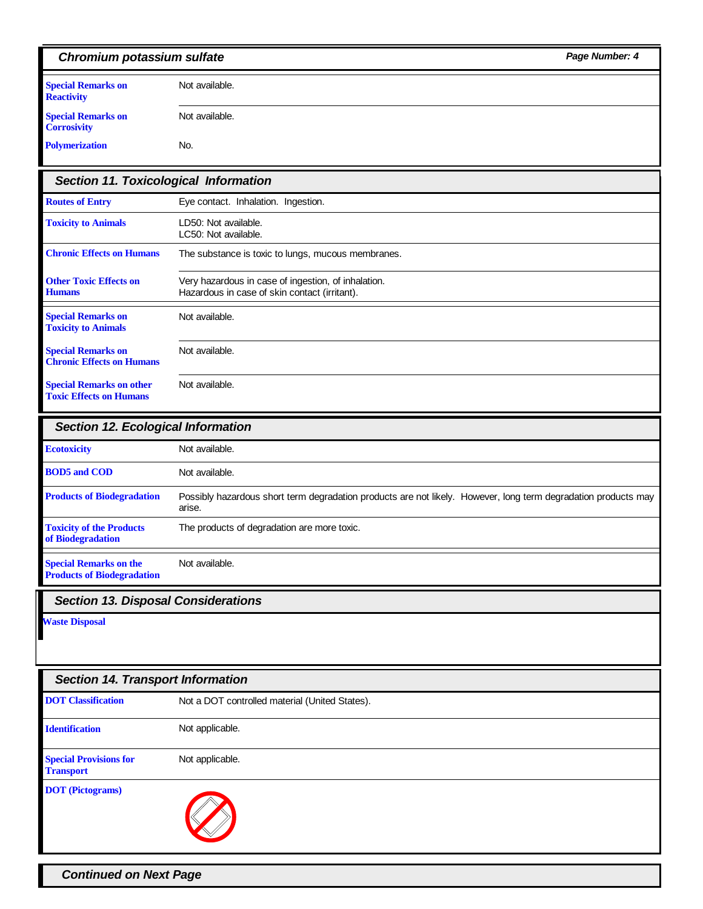| Page Number: 4<br>Chromium potassium sulfate                       |                                                                                                                          |  |  |  |
|--------------------------------------------------------------------|--------------------------------------------------------------------------------------------------------------------------|--|--|--|
| <b>Special Remarks on</b><br><b>Reactivity</b>                     | Not available.                                                                                                           |  |  |  |
| <b>Special Remarks on</b><br><b>Corrosivity</b>                    | Not available.                                                                                                           |  |  |  |
| <b>Polymerization</b>                                              | No.                                                                                                                      |  |  |  |
| <b>Section 11. Toxicological Information</b>                       |                                                                                                                          |  |  |  |
| <b>Routes of Entry</b>                                             | Eye contact. Inhalation. Ingestion.                                                                                      |  |  |  |
| <b>Toxicity to Animals</b>                                         | LD50: Not available.<br>LC50: Not available.                                                                             |  |  |  |
| <b>Chronic Effects on Humans</b>                                   | The substance is toxic to lungs, mucous membranes.                                                                       |  |  |  |
| <b>Other Toxic Effects on</b><br><b>Humans</b>                     | Very hazardous in case of ingestion, of inhalation.<br>Hazardous in case of skin contact (irritant).                     |  |  |  |
| <b>Special Remarks on</b><br><b>Toxicity to Animals</b>            | Not available.                                                                                                           |  |  |  |
| <b>Special Remarks on</b><br><b>Chronic Effects on Humans</b>      | Not available.                                                                                                           |  |  |  |
| <b>Special Remarks on other</b><br><b>Toxic Effects on Humans</b>  | Not available.                                                                                                           |  |  |  |
| <b>Section 12. Ecological Information</b>                          |                                                                                                                          |  |  |  |
| <b>Ecotoxicity</b>                                                 | Not available.                                                                                                           |  |  |  |
| <b>BOD5</b> and COD                                                | Not available.                                                                                                           |  |  |  |
| <b>Products of Biodegradation</b>                                  | Possibly hazardous short term degradation products are not likely. However, long term degradation products may<br>arise. |  |  |  |
| <b>Toxicity of the Products</b><br>of Biodegradation               | The products of degradation are more toxic.                                                                              |  |  |  |
| <b>Special Remarks on the</b><br><b>Products of Biodegradation</b> | Not available.                                                                                                           |  |  |  |
| <b>Section 13. Disposal Considerations</b>                         |                                                                                                                          |  |  |  |
| <b>Waste Disposal</b>                                              |                                                                                                                          |  |  |  |
|                                                                    |                                                                                                                          |  |  |  |
| <b>Section 14. Transport Information</b>                           |                                                                                                                          |  |  |  |
| <b>DOT</b> Classification                                          | Not a DOT controlled material (United States).                                                                           |  |  |  |
| <b>Identification</b>                                              | Not applicable.                                                                                                          |  |  |  |
| <b>Special Provisions for</b><br><b>Transport</b>                  | Not applicable.                                                                                                          |  |  |  |
| <b>DOT</b> (Pictograms)                                            |                                                                                                                          |  |  |  |

*Continued on Next Page*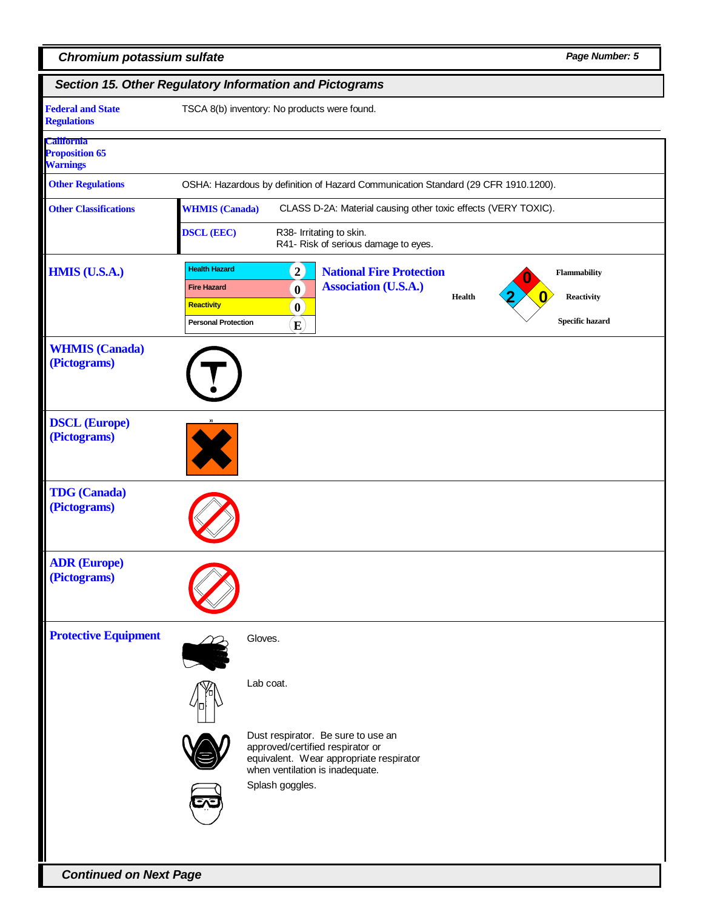# *Chromium potassium sulfate Page Number: 5*

# *Section 15. Other Regulatory Information and Pictograms*

| <b>Federal and State</b><br><b>Regulations</b>                | TSCA 8(b) inventory: No products were found.                                            |                                                        |                                                                                                                                                      |               |                                                             |
|---------------------------------------------------------------|-----------------------------------------------------------------------------------------|--------------------------------------------------------|------------------------------------------------------------------------------------------------------------------------------------------------------|---------------|-------------------------------------------------------------|
| <b>California</b><br><b>Proposition 65</b><br><b>Warnings</b> |                                                                                         |                                                        |                                                                                                                                                      |               |                                                             |
| <b>Other Regulations</b>                                      | OSHA: Hazardous by definition of Hazard Communication Standard (29 CFR 1910.1200).      |                                                        |                                                                                                                                                      |               |                                                             |
| <b>Other Classifications</b>                                  | <b>WHMIS</b> (Canada)<br>CLASS D-2A: Material causing other toxic effects (VERY TOXIC). |                                                        |                                                                                                                                                      |               |                                                             |
|                                                               | <b>DSCL (EEC)</b>                                                                       |                                                        | R38- Irritating to skin.<br>R41- Risk of serious damage to eyes.                                                                                     |               |                                                             |
| <b>HMIS (U.S.A.)</b>                                          | <b>Health Hazard</b><br><b>Fire Hazard</b><br>Reactivity<br><b>Personal Protection</b>  | $\overline{2}$<br>$\bf{0}$<br>$\mathbf{0}$<br>$\bf{E}$ | <b>National Fire Protection</b><br><b>Association (U.S.A.)</b>                                                                                       | <b>Health</b> | Flammability<br><b>Reactivity</b><br><b>Specific hazard</b> |
| <b>WHMIS</b> (Canada)<br>(Pictograms)                         |                                                                                         |                                                        |                                                                                                                                                      |               |                                                             |
| <b>DSCL (Europe)</b><br>(Pictograms)                          |                                                                                         |                                                        |                                                                                                                                                      |               |                                                             |
| <b>TDG</b> (Canada)<br>(Pictograms)                           |                                                                                         |                                                        |                                                                                                                                                      |               |                                                             |
| <b>ADR</b> (Europe)<br>(Pictograms)                           |                                                                                         |                                                        |                                                                                                                                                      |               |                                                             |
| <b>Protective Equipment</b>                                   | Gloves.                                                                                 |                                                        |                                                                                                                                                      |               |                                                             |
|                                                               |                                                                                         | Lab coat.                                              |                                                                                                                                                      |               |                                                             |
|                                                               |                                                                                         | Splash goggles.                                        | Dust respirator. Be sure to use an<br>approved/certified respirator or<br>equivalent. Wear appropriate respirator<br>when ventilation is inadequate. |               |                                                             |
| <b>Continued on Next Page</b>                                 |                                                                                         |                                                        |                                                                                                                                                      |               |                                                             |